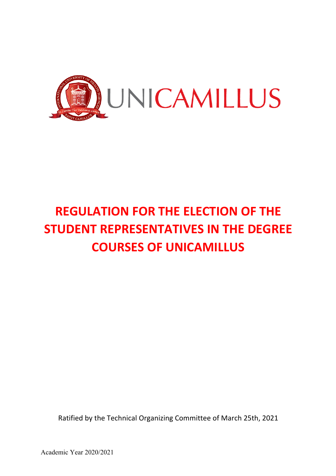

# **REGULATION FOR THE ELECTION OF THE STUDENT REPRESENTATIVES IN THE DEGREE COURSES OF UNICAMILLUS**

Ratified by the Technical Organizing Committee of March 25th, 2021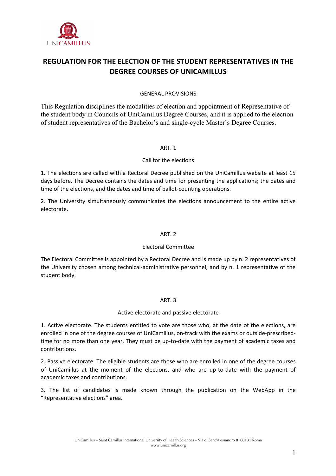

# **REGULATION FOR THE ELECTION OF THE STUDENT REPRESENTATIVES IN THE DEGREE COURSES OF UNICAMILLUS**

# GENERAL PROVISIONS

This Regulation disciplines the modalities of election and appointment of Representative of the student body in Councils of UniCamillus Degree Courses, and it is applied to the election of student representatives of the Bachelor's and single-cycle Master's Degree Courses.

#### ART. 1

# Call for the elections

1. The elections are called with a Rectoral Decree published on the UniCamillus website at least 15 days before. The Decree contains the dates and time for presenting the applications; the dates and time of the elections, and the dates and time of ballot-counting operations.

2. The University simultaneously communicates the elections announcement to the entire active electorate.

# ART. 2

#### Electoral Committee

The Electoral Committee is appointed by a Rectoral Decree and is made up by n. 2 representatives of the University chosen among technical-administrative personnel, and by n. 1 representative of the student body.

#### ART. 3

#### Active electorate and passive electorate

1. Active electorate. The students entitled to vote are those who, at the date of the elections, are enrolled in one of the degree courses of UniCamillus, on-track with the exams or outside-prescribedtime for no more than one year. They must be up-to-date with the payment of academic taxes and contributions.

2. Passive electorate. The eligible students are those who are enrolled in one of the degree courses of UniCamillus at the moment of the elections, and who are up-to-date with the payment of academic taxes and contributions.

3. The list of candidates is made known through the publication on the WebApp in the "Representative elections" area.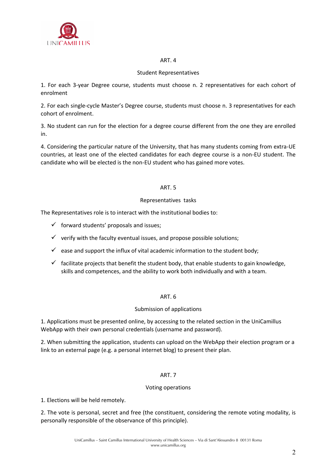

#### ART. 4

# Student Representatives

1. For each 3-year Degree course, students must choose n. 2 representatives for each cohort of enrolment

2. For each single-cycle Master's Degree course, students must choose n. 3 representatives for each cohort of enrolment.

3. No student can run for the election for a degree course different from the one they are enrolled in.

4. Considering the particular nature of the University, that has many students coming from extra-UE countries, at least one of the elected candidates for each degree course is a non-EU student. The candidate who will be elected is the non-EU student who has gained more votes.

# ART. 5

# Representatives tasks

The Representatives role is to interact with the institutional bodies to:

- $\checkmark$  forward students' proposals and issues;
- $\checkmark$  verify with the faculty eventual issues, and propose possible solutions;
- $\checkmark$  ease and support the influx of vital academic information to the student body;
- $\checkmark$  facilitate projects that benefit the student body, that enable students to gain knowledge, skills and competences, and the ability to work both individually and with a team.

#### ART. 6

#### Submission of applications

1. Applications must be presented online, by accessing to the related section in the UniCamillus WebApp with their own personal credentials (username and password).

2. When submitting the application, students can upload on the WebApp their election program or a link to an external page (e.g. a personal internet blog) to present their plan.

#### ART. 7

#### Voting operations

1. Elections will be held remotely.

2. The vote is personal, secret and free (the constituent, considering the remote voting modality, is personally responsible of the observance of this principle).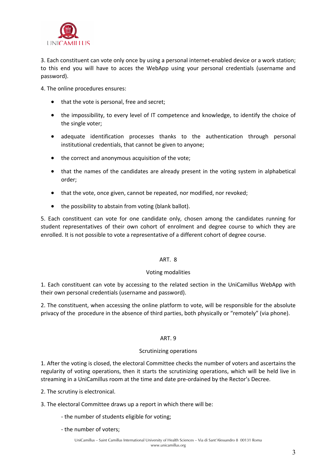

3. Each constituent can vote only once by using a personal internet-enabled device or a work station; to this end you will have to acces the WebApp using your personal credentials (username and password).

4. The online procedures ensures:

- that the vote is personal, free and secret;
- the impossibility, to every level of IT competence and knowledge, to identify the choice of the single voter;
- adequate identification processes thanks to the authentication through personal institutional credentials, that cannot be given to anyone;
- the correct and anonymous acquisition of the vote;
- that the names of the candidates are already present in the voting system in alphabetical order;
- that the vote, once given, cannot be repeated, nor modified, nor revoked;
- the possibility to abstain from voting (blank ballot).

5. Each constituent can vote for one candidate only, chosen among the candidates running for student representatives of their own cohort of enrolment and degree course to which they are enrolled. It is not possible to vote a representative of a different cohort of degree course.

# ART. 8

#### Voting modalities

1. Each constituent can vote by accessing to the related section in the UniCamillus WebApp with their own personal credentials (username and password).

2. The constituent, when accessing the online platform to vote, will be responsible for the absolute privacy of the procedure in the absence of third parties, both physically or "remotely" (via phone).

#### ART. 9

#### Scrutinizing operations

1. After the voting is closed, the electoral Committee checks the number of voters and ascertains the regularity of voting operations, then it starts the scrutinizing operations, which will be held live in streaming in a UniCamillus room at the time and date pre-ordained by the Rector's Decree.

2. The scrutiny is electronical.

- 3. The electoral Committee draws up a report in which there will be:
	- the number of students eligible for voting;
	- the number of voters;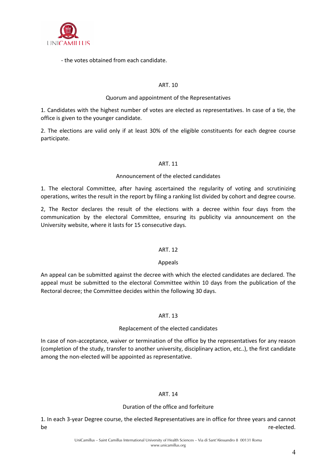

- the votes obtained from each candidate.

# ART. 10

#### Quorum and appointment of the Representatives

1. Candidates with the highest number of votes are elected as representatives. In case of a tie, the office is given to the younger candidate.

2. The elections are valid only if at least 30% of the eligible constituents for each degree course participate.

# ART. 11

#### Announcement of the elected candidates

1. The electoral Committee, after having ascertained the regularity of voting and scrutinizing operations, writes the result in the report by filing a ranking list divided by cohort and degree course.

2, The Rector declares the result of the elections with a decree within four days from the communication by the electoral Committee, ensuring its publicity via announcement on the University website, where it lasts for 15 consecutive days.

#### ART. 12

#### Appeals

An appeal can be submitted against the decree with which the elected candidates are declared. The appeal must be submitted to the electoral Committee within 10 days from the publication of the Rectoral decree; the Committee decides within the following 30 days.

#### ART. 13

#### Replacement of the elected candidates

In case of non-acceptance, waiver or termination of the office by the representatives for any reason (completion of the study, transfer to another university, disciplinary action, etc..), the first candidate among the non-elected will be appointed as representative.

#### ART. 14

#### Duration of the office and forfeiture

1. In each 3-year Degree course, the elected Representatives are in office for three years and cannot be **the contract of the contract of the contract of the contract of the contract of the contract of the contract of the contract of the contract of the contract of the contract of the contract of the contract of the contra**